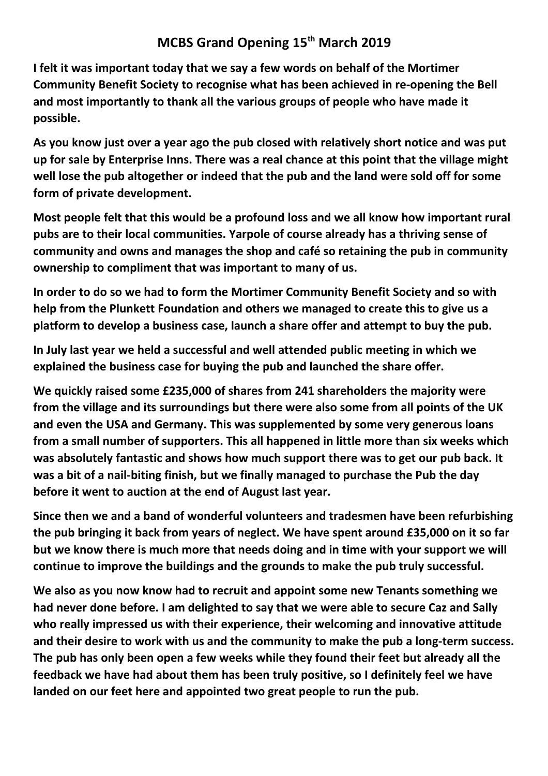## **MCBS Grand Opening 15th March 2019**

**I felt it was important today that we say a few words on behalf of the Mortimer Community Benefit Society to recognise what has been achieved in re-opening the Bell and most importantly to thank all the various groups of people who have made it possible.**

**As you know just over a year ago the pub closed with relatively short notice and was put up for sale by Enterprise Inns. There was a real chance at this point that the village might well lose the pub altogether or indeed that the pub and the land were sold off for some form of private development.**

**Most people felt that this would be a profound loss and we all know how important rural pubs are to their local communities. Yarpole of course already has a thriving sense of community and owns and manages the shop and café so retaining the pub in community ownership to compliment that was important to many of us.**

**In order to do so we had to form the Mortimer Community Benefit Society and so with help from the Plunkett Foundation and others we managed to create this to give us a platform to develop a business case, launch a share offer and attempt to buy the pub.**

**In July last year we held a successful and well attended public meeting in which we explained the business case for buying the pub and launched the share offer.**

**We quickly raised some £235,000 of shares from 241 shareholders the majority were from the village and its surroundings but there were also some from all points of the UK and even the USA and Germany. This was supplemented by some very generous loans from a small number of supporters. This all happened in little more than six weeks which was absolutely fantastic and shows how much support there was to get our pub back. It was a bit of a nail-biting finish, but we finally managed to purchase the Pub the day before it went to auction at the end of August last year.**

**Since then we and a band of wonderful volunteers and tradesmen have been refurbishing the pub bringing it back from years of neglect. We have spent around £35,000 on it so far but we know there is much more that needs doing and in time with your support we will continue to improve the buildings and the grounds to make the pub truly successful.**

**We also as you now know had to recruit and appoint some new Tenants something we had never done before. I am delighted to say that we were able to secure Caz and Sally who really impressed us with their experience, their welcoming and innovative attitude and their desire to work with us and the community to make the pub a long-term success. The pub has only been open a few weeks while they found their feet but already all the feedback we have had about them has been truly positive, so I definitely feel we have landed on our feet here and appointed two great people to run the pub.**